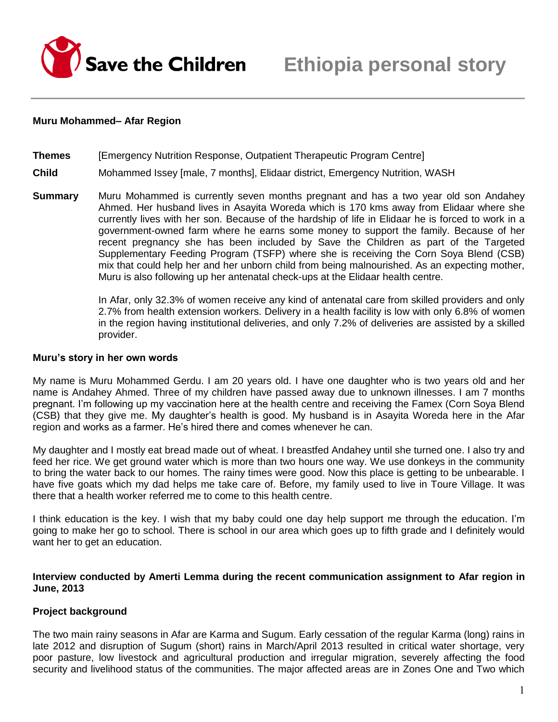

## **Muru Mohammed– Afar Region**

**Themes** [Emergency Nutrition Response, Outpatient Therapeutic Program Centre]

## **Child** Mohammed Issey [male, 7 months], Elidaar district, Emergency Nutrition, WASH

**Summary** Muru Mohammed is currently seven months pregnant and has a two year old son Andahey Ahmed. Her husband lives in Asayita Woreda which is 170 kms away from Elidaar where she currently lives with her son. Because of the hardship of life in Elidaar he is forced to work in a government-owned farm where he earns some money to support the family. Because of her recent pregnancy she has been included by Save the Children as part of the Targeted Supplementary Feeding Program (TSFP) where she is receiving the Corn Soya Blend (CSB) mix that could help her and her unborn child from being malnourished. As an expecting mother, Muru is also following up her antenatal check-ups at the Elidaar health centre.

> In Afar, only 32.3% of women receive any kind of antenatal care from skilled providers and only 2.7% from health extension workers. Delivery in a health facility is low with only 6.8% of women in the region having institutional deliveries, and only 7.2% of deliveries are assisted by a skilled provider.

#### **Muru's story in her own words**

My name is Muru Mohammed Gerdu. I am 20 years old. I have one daughter who is two years old and her name is Andahey Ahmed. Three of my children have passed away due to unknown illnesses. I am 7 months pregnant. I'm following up my vaccination here at the health centre and receiving the Famex (Corn Soya Blend (CSB) that they give me. My daughter's health is good. My husband is in Asayita Woreda here in the Afar region and works as a farmer. He's hired there and comes whenever he can.

My daughter and I mostly eat bread made out of wheat. I breastfed Andahey until she turned one. I also try and feed her rice. We get ground water which is more than two hours one way. We use donkeys in the community to bring the water back to our homes. The rainy times were good. Now this place is getting to be unbearable. I have five goats which my dad helps me take care of. Before, my family used to live in Toure Village. It was there that a health worker referred me to come to this health centre.

I think education is the key. I wish that my baby could one day help support me through the education. I'm going to make her go to school. There is school in our area which goes up to fifth grade and I definitely would want her to get an education.

## **Interview conducted by Amerti Lemma during the recent communication assignment to Afar region in June, 2013**

## **Project background**

The two main rainy seasons in Afar are Karma and Sugum. Early cessation of the regular Karma (long) rains in late 2012 and disruption of Sugum (short) rains in March/April 2013 resulted in critical water shortage, very poor pasture, low livestock and agricultural production and irregular migration, severely affecting the food security and livelihood status of the communities. The major affected areas are in Zones One and Two which